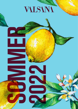# VILSINI











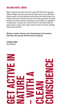## VALSANA HOTEL AROSA

Made for sunny days: your place in the sun for summer 2022. We stand for easy-going, chilled-out holidays: ones that let you let go and feel good. Join us at over 1,800 metres altitude to breathe in the fresh mountain air and breathe out the hustle and bustle of the everyday. Raise your heart towards the sky with a spot of light yoga; discover the pristine landscape of the Grisons mountains. Arosa blossoms, it hums with life, it's resplendent in its summer green– and with us, you're right at the heart of it all. No other holiday will bring you closer to nature, or with a cleaner conscience. After all, we've been completely climate-neutral since 2019.

Welcome to summer; welcome to your relaxing getaway in the mountains. Step inside, relax and enjoy. We look forward to seeing you!

CLAUDIO LAAGER General Manager

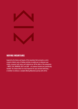

## MOVING MOUNTAINS

Inspired by the history and beauty of the mountains that surround us, we've created a holistic menu of holiday activities to enable you to rediscover your vitality, reconnect with nature and celebrate joy. All five pillars of the programme – MOVE, PLAY, NOURISH, REST and GIVE – are evidence-backed and scientifically founded. You choose which are most important for your personal well-being – or whether to embrace a complete Moving Mountains journey with all five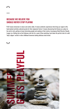# BECAUSE WE BELIEVE YOU SHOULD NEVER STOP PLAYING

PLAY means immersion in nature and culture alike. It means authentic experiences that bring our region to life; hand-picked activities selected purely for their enjoyment factor. It means discovering the Grisons as a place to live and to visit, getting to know interesting people and soaking in their stories. Accompany Hotel Director Claudio Laager on a fishing trip on the Urdensee, join him for a spot of ibex-watching, hunt down the perfect shot of a wild 'lady's slipper' orchid or relive childhood memories baking delicious twist bread.

 $\boldsymbol{\mathsf{M}}$ 

SUMMER GETS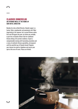#### CLAUDIOS DINNERCLUB AN EVENING MEAL AT THE HOME OF OUR HOTEL DIRECTOR

Besides his role as Hotel Director, Claudio Laager is a hunter, fisher, snowboarder and passionate chef. Most importantly of all, however, he's a proud Grisons native. On 6 and 20 August this year, he invites you cordially to join him at Claudio's Dinner Club for traditional Grisons dining at his private residence. Expect a companionable evening with fascinating anecdotes and a menu of authentic Grisons specialities, all prepared until the watchful eye of Claudio himself. Register your interest via email or telephone and secure your spot at this one-off event. Places are limited.

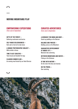#### MOVING MOUNTAINS PLAY

# EMPOWERING EXPEDITIONS

(from June to September)

GIFTS OF THE FOREST — Gathering mushrooms and berries

SELF-MADE DELICIOUSNESS — Herb salt or herb oil to take home

A UNIQUE PHOTOGRAPHIC SUBJECT — Wild orchids in Arosa

TIME TO GET CREATIVE — Twist bread and Swedish fire logs

CLAUDIOS DINNER CLUB — An evening meal hosted by our Hotel Director

#### CURATED ADVENTURES

(from June to September)

A WORKOUT FOR MIND AND BODY — Stand-up paddling on the Obersee

BALANCE AND FINESSE — Building cairns on the Weisshorn

GUARANTEED REFRESHMENT AT UNDER 10°C — Mountain lake swimming

BETWEEN MOUNTAINS AND WATER — Fishing on the Urdensee

AT ONE WITH NATURE — On the trail of the ibex and chamois

ON THE PROWL — Deer watching

M

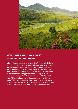

## BECAUSE THIS PLANET IS ALL WE'VE GOT WE ARE GREEN GLOBE CERTIFIED

Holidays with a clean conscience: the operations of the Tschuggen Collection Hotels have been completely climate-neutral since 2019. Now, our recently awarded Green Globe certification proves we've gone one step further, marking us as one of the most sustainable premium hotel groups in Switzerland. The Valsana Hotel is proud to play a pioneering role in these endeavours – not least with our ice storage system, which provides the entire heating power for our three buildings via the hotel's own probes and existing geothermal probes in combination with heat pumps. We also use 100% certified green electricity from Alpine hydropower. Similarly, our respect for the environment shapes the way we run our day-to-day operations: we operate on a largely paperless basis, strive to ensure optimal energy efficiency, avoid packaging wherever possible and work closely with local producers and partners.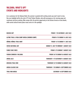# VALSANA, WHAT'S UP? EVENTS AND HIGHLIGHTS

As is customary for the Valsana Hotel, the summer is packed with exciting events you won't want to miss. One sure highlight will be the visit of TV chef Fabian Zbinden, who will accompany us for morning yoga and mushroom and berry picking. Bike camps offer the perfect opportunity to the Grisons forests on two wheels, while varied cultural events place music and art in the spotlight.

| <b>NISSEN-CUP</b>                           | <b>FRIDAY 1 TO SATURDAY 2 JULY 2022</b>       |
|---------------------------------------------|-----------------------------------------------|
| ALPINE TRAIL & YOGA CAMP AROSA (WOMEN CAMP) | <b>FRIDAY 8 TO SUNDAY 10 JULY 2022</b>        |
| HÖRNLI HÖRNLI TRAIL HUNT                    | <b>FRIDAY 15 TO SUNDAY 17 JULY 2022</b>       |
| <b>SWISS NATIONAL DAY</b>                   | SUNDAY 31 JULY TO MONDAY 1 AUGUST 2022        |
| <b>FAMILY BIKE VIBES</b>                    | <b>FRIDAY 5 TO SUNDAY 7 AUGUST 2022</b>       |
| FABIAN ZBINDEN X VALSANA                    | <b>FRIDAY 26 TO SUNDAY 28 AUGUST 2022</b>     |
| AROSA JAZZ                                  | <b>THURSDAY 11 TO SATURDAY 13 AUGUST 2022</b> |
| <b>GRISCHA TRAIL RIDE</b>                   | <b>THURSDAY 25 TO SUNDAY 28 AUGUST 2022</b>   |
| AROSA CLASSIC CAR                           | THURSDAY 1 TO SUNDAY 4 SEPTEMBER 2022         |
| TRAIL RUN AROSA                             | <b>SATURDAY 10 SEPTEMBER 2022</b>             |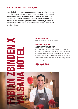## FABIAN ZBINDEN X VALSANA HOTEL

Fabian Zbinden is a chef, entrepreneur, speaker and meditation enthusiast. In his time cooking for the stars in Hollywood, he counted Madonna and David Beckham among his esteemed guests. Now the Bernese chef is returning to his roots - or rather, to root vegetables – with a focus on vegan dishes. A perfect fit for us at Valsana, don't you think? We do – and that's precisely why we're inviting him (and you!) to discover his "plant-based secrets". Our focus for the visit? Mindfulness: conscious enjoyment that has nature at its heart.



Arrival and a shared evening meal at the Restaurant Twist.

#### SATURDAY 27 AUGUST 2022 A MINDFUL DAY WITH OUR TV CHEF

The day begins with morning activities and meditation. After heading into the forest to pick mushrooms and berries, we prepare them for eating around the open fireplace. In evening we pay a visit to the Tschuggen Grand Hotel, sister hotel of the Valsana, where we partake in some wild animal-spotting from the suite. The evening finishes at Restaurant Twist. Please note that there will be journalists on site to cover the day.

SUNDAY 28 AUGUST 2022 Breakfast and farewell.



**KABIAN ZBINDEN**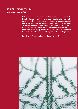# NOURISH. STRENGHTEN. HEAL. OUR NEW SPA CONCEPT

Switzerland is famously a land of snow-covered mountains and crystal-clear lakes. It's fitting, therefore, that these notable landscapes provided the inspiration for our brandnew spa concept. Rooted in a close connection with nature, the concept centres around a holistic approach to uniting body and mind. It is founded on the latest medical findings and innovative technologies as well as on the integration of time-honoured naturopathic practices and treatments. Cleansing, purifying, renewing and strengthening treatments help you uncover radiant beauty, boost your vitality and discover a holistic sense of wellbeing. Our spa uses exclusively products with organic or certified natural ingredients.

Pay a visit to the Valsana Spa to learn more about what we can offer.